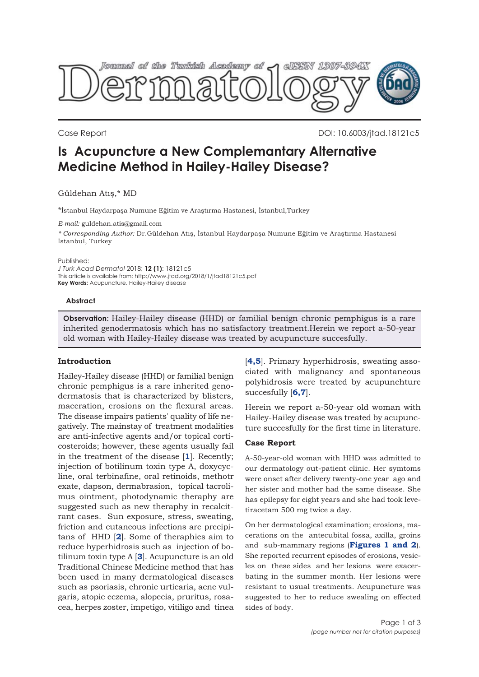

Case Report DOI: 10.6003/jtad.18121c5

# **Is Acupuncture a New Complemantary Alternative Medicine Method in Hailey-Hailey Disease?**

## Güldehan Atış,\* MD

\*İstanbul Haydarpaşa Numune Eğitim ve Araştırma Hastanesi, İstanbul,Turkey

*E-mail:* guldehan.atis@gmail.com

*\* Corresponding Author:* Dr.Güldehan Atış, İstanbul Haydarpaşa Numune Eğitim ve Araştırma Hastanesi İstanbul, Turkey

Published:

*J Turk Acad Dermatol* 2018; **12 (1)**: 18121c5 This article is available from: http://www.jtad.org/2018/1/jtad18121c5.pdf **Key Words:** Acupuncture, Hailey-Hailey disease

#### **Abstract**

**Observation:** Hailey-Hailey disease (HHD) or familial benign chronic pemphigus is a rare inherited genodermatosis which has no satisfactory treatment.Herein we report a-50-year old woman with Hailey-Hailey disease was treated by acupuncture succesfully.

## **Introduction**

Hailey-Hailey disease (HHD) or familial benign chronic pemphigus is a rare inherited genodermatosis that is characterized by blisters, maceration, erosions on the flexural areas. The disease impairs patients' quality of life negatively. The mainstay of treatment modalities are anti-infective agents and/or topical corticosteroids; however, these agents usually fail in the treatment of the disease [**[1](#page-2-0)**]. Recently; injection of botilinum toxin type A, doxycycline, oral terbinafine, oral retinoids, methotr exate, dapson, dermabrasion, topical tacrolimus ointment, photodynamic theraphy are suggested such as new theraphy in recalcitrant cases. Sun exposure, stress, sweating, friction and cutaneous infections are precipitans of HHD [**[2](#page-2-0)**]. Some of theraphies aim to reduce hyperhidrosis such as injection of botilinum toxin type A [**[3](#page-2-0)**]. Acupuncture is an old Traditional Chinese Medicine method that has been used in many dermatological diseases such as psoriasis, chronic urticaria, acne vulgaris, atopic eczema, alopecia, pruritus, rosacea, herpes zoster, impetigo, vitiligo and tinea

[**[4](#page-2-0),[5](#page-2-0)**]. Primary hyperhidrosis, sweating associated with malignancy and spontaneous polyhidrosis were treated by acupunchture succesfully [**[6](#page-2-0),[7](#page-2-0)**].

Herein we report a-50-year old woman with Hailey-Hailey disease was treated by acupuncture succesfully for the first time in literature.

## **Case Report**

A-50-year-old woman with HHD was admitted to our dermatology out-patient clinic. Her symtoms were onset after delivery twenty-one year ago and her sister and mother had the same disease. She has epilepsy for eight years and she had took levetiracetam 500 mg twice a day.

On her dermatological examination; erosions, macerations on the antecubital fossa, axilla, groins and sub-mammary regions (**[Figures 1 and 2](#page-1-0)**). She reported recurrent episodes of erosions, vesicles on these sides and her lesions were exacerbating in the summer month. Her lesions were resistant to usual treatments. Acupuncture was suggested to her to reduce swealing on effected sides of body.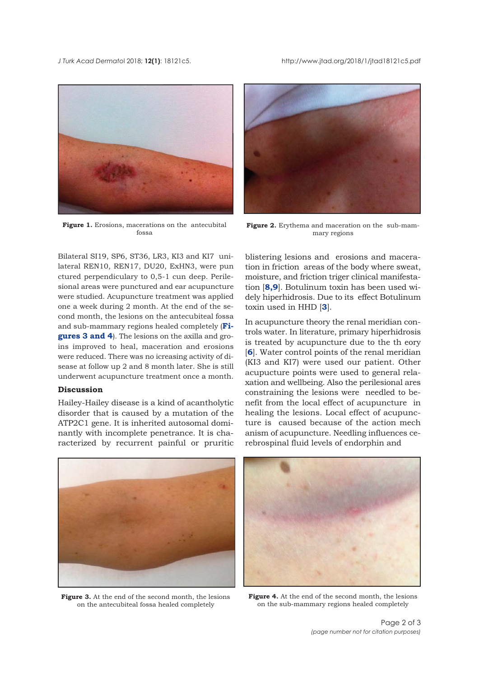<span id="page-1-0"></span>*J Turk Acad Dermato*l 2018; **12(1)**: 18121c5. http://www.jtad.org/2018/1/jtad18121c5.pdf



Figure 1. Erosions, macerations on the antecubital fossa

Bilateral SI19, SP6, ST36, LR3, KI3 and KI7 unilateral REN10, REN17, DU20, ExHN3, were pun ctured perpendiculary to 0,5-1 cun deep. Perilesional areas were punctured and ear acupuncture were studied. Acupuncture treatment was applied one a week during 2 month. At the end of the second month, the lesions on the antecubiteal fossa and sub-mammary regions healed completely (**Figures 3 and 4**). The lesions on the axilla and groins improved to heal, maceration and erosions were reduced. There was no icreasing activity of disease at follow up 2 and 8 month later. She is still underwent acupuncture treatment once a month.

#### **Discussion**

Hailey-Hailey disease is a kind of acantholytic disorder that is caused by a mutation of the ATP2C1 gene. It is inherited autosomal dominantly with incomplete penetrance. It is characterized by recurrent painful or pruritic



**Figure 2.** Erythema and maceration on the sub-mammary regions

blistering lesions and erosions and maceration in friction areas of the body where sweat, moisture, and friction triger clinical manifestation [**[8,9](#page-2-0)**]. Botulinum toxin has been used widely hiperhidrosis. Due to its effect Botulinum toxin used in HHD [**[3](#page-2-0)**].

In acupuncture theory the renal meridian controls water. In literature, primary hiperhidrosis is treated by acupuncture due to the th eory [**[6](#page-2-0)**]. Water control points of the renal meridian (KI3 and KI7) were used our patient. Other acupucture points were used to general relaxation and wellbeing. Also the perilesional ares constraining the lesions were needled to benefit from the local effect of acupuncture in healing the lesions. Local effect of acupuncture is caused because of the action mech anism of acupuncture. Needling influences cerebrospinal fluid levels of endorphin and



**Figure 3.** At the end of the second month, the lesions on the antecubiteal fossa healed completely



**Figure 4.** At the end of the second month, the lesions on the sub-mammary regions healed completely